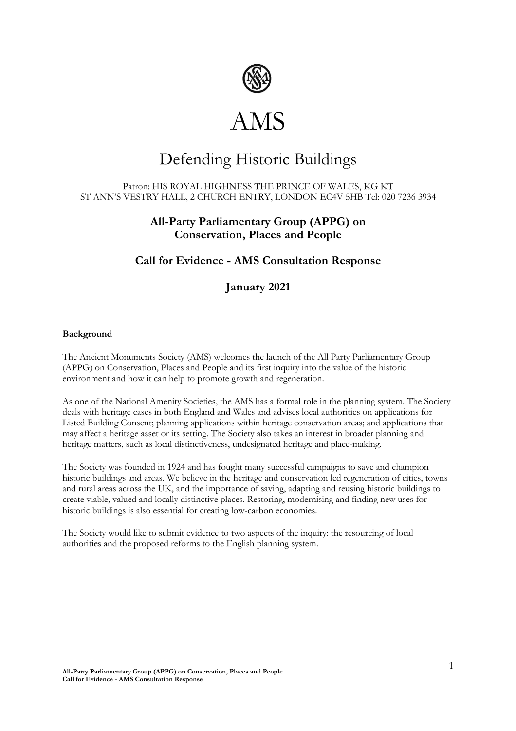

# Defending Historic Buildings

## Patron: HIS ROYAL HIGHNESS THE PRINCE OF WALES, KG KT ST ANN'S VESTRY HALL, 2 CHURCH ENTRY, LONDON EC4V 5HB Tel: 020 7236 3934

# **All-Party Parliamentary Group (APPG) on Conservation, Places and People**

# **Call for Evidence - AMS Consultation Response**

# **January 2021**

## **Background**

The Ancient Monuments Society (AMS) welcomes the launch of the All Party Parliamentary Group (APPG) on Conservation, Places and People and its first inquiry into the value of the historic environment and how it can help to promote growth and regeneration.

As one of the National Amenity Societies, the AMS has a formal role in the planning system. The Society deals with heritage cases in both England and Wales and advises local authorities on applications for Listed Building Consent; planning applications within heritage conservation areas; and applications that may affect a heritage asset or its setting. The Society also takes an interest in broader planning and heritage matters, such as local distinctiveness, undesignated heritage and place-making.

The Society was founded in 1924 and has fought many successful campaigns to save and champion historic buildings and areas. We believe in the heritage and conservation led regeneration of cities, towns and rural areas across the UK, and the importance of saving, adapting and reusing historic buildings to create viable, valued and locally distinctive places. Restoring, modernising and finding new uses for historic buildings is also essential for creating low-carbon economies.

The Society would like to submit evidence to two aspects of the inquiry: the resourcing of local authorities and the proposed reforms to the English planning system.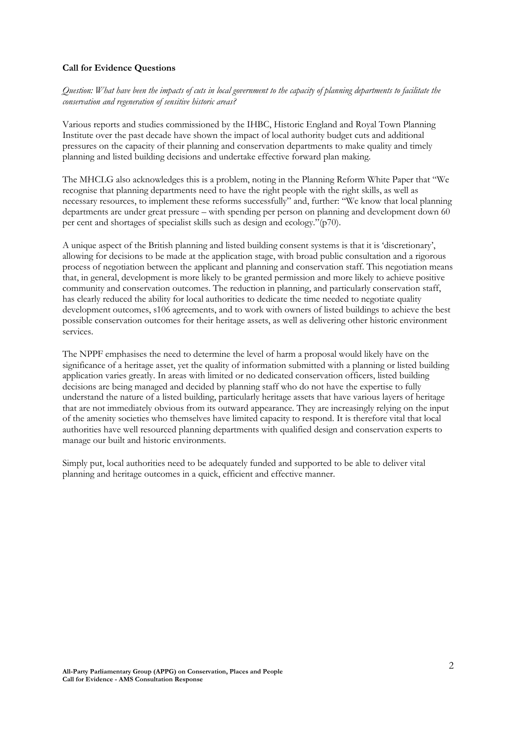### **Call for Evidence Questions**

*Question: What have been the impacts of cuts in local government to the capacity of planning departments to facilitate the conservation and regeneration of sensitive historic areas?*

Various reports and studies commissioned by the IHBC, Historic England and Royal Town Planning Institute over the past decade have shown the impact of local authority budget cuts and additional pressures on the capacity of their planning and conservation departments to make quality and timely planning and listed building decisions and undertake effective forward plan making.

The MHCLG also acknowledges this is a problem, noting in the Planning Reform White Paper that "We recognise that planning departments need to have the right people with the right skills, as well as necessary resources, to implement these reforms successfully" and, further: "We know that local planning departments are under great pressure – with spending per person on planning and development down 60 per cent and shortages of specialist skills such as design and ecology."(p70).

A unique aspect of the British planning and listed building consent systems is that it is 'discretionary', allowing for decisions to be made at the application stage, with broad public consultation and a rigorous process of negotiation between the applicant and planning and conservation staff. This negotiation means that, in general, development is more likely to be granted permission and more likely to achieve positive community and conservation outcomes. The reduction in planning, and particularly conservation staff, has clearly reduced the ability for local authorities to dedicate the time needed to negotiate quality development outcomes, s106 agreements, and to work with owners of listed buildings to achieve the best possible conservation outcomes for their heritage assets, as well as delivering other historic environment services.

The NPPF emphasises the need to determine the level of harm a proposal would likely have on the significance of a heritage asset, yet the quality of information submitted with a planning or listed building application varies greatly. In areas with limited or no dedicated conservation officers, listed building decisions are being managed and decided by planning staff who do not have the expertise to fully understand the nature of a listed building, particularly heritage assets that have various layers of heritage that are not immediately obvious from its outward appearance. They are increasingly relying on the input of the amenity societies who themselves have limited capacity to respond. It is therefore vital that local authorities have well resourced planning departments with qualified design and conservation experts to manage our built and historic environments.

Simply put, local authorities need to be adequately funded and supported to be able to deliver vital planning and heritage outcomes in a quick, efficient and effective manner.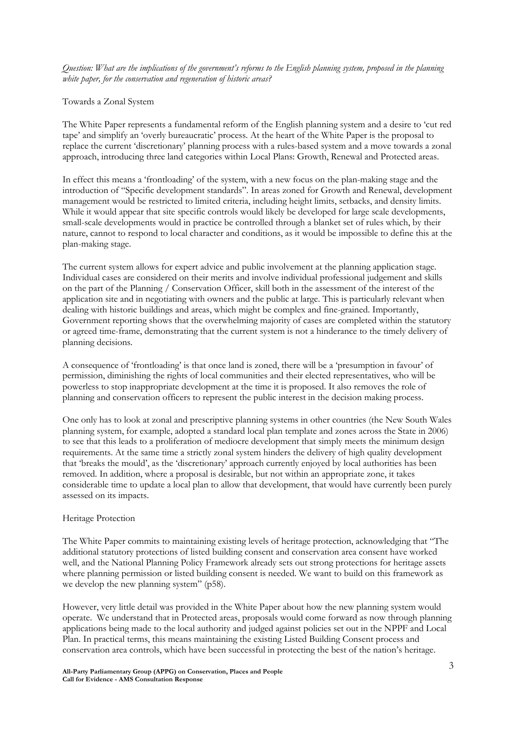*Question: What are the implications of the government's reforms to the English planning system, proposed in the planning white paper, for the conservation and regeneration of historic areas?* 

#### Towards a Zonal System

The White Paper represents a fundamental reform of the English planning system and a desire to 'cut red tape' and simplify an 'overly bureaucratic' process. At the heart of the White Paper is the proposal to replace the current 'discretionary' planning process with a rules-based system and a move towards a zonal approach, introducing three land categories within Local Plans: Growth, Renewal and Protected areas.

In effect this means a 'frontloading' of the system, with a new focus on the plan-making stage and the introduction of "Specific development standards". In areas zoned for Growth and Renewal, development management would be restricted to limited criteria, including height limits, setbacks, and density limits. While it would appear that site specific controls would likely be developed for large scale developments, small-scale developments would in practice be controlled through a blanket set of rules which, by their nature, cannot to respond to local character and conditions, as it would be impossible to define this at the plan-making stage.

The current system allows for expert advice and public involvement at the planning application stage. Individual cases are considered on their merits and involve individual professional judgement and skills on the part of the Planning / Conservation Officer, skill both in the assessment of the interest of the application site and in negotiating with owners and the public at large. This is particularly relevant when dealing with historic buildings and areas, which might be complex and fine-grained. Importantly, Government reporting shows that the overwhelming majority of cases are completed within the statutory or agreed time-frame, demonstrating that the current system is not a hinderance to the timely delivery of planning decisions.

A consequence of 'frontloading' is that once land is zoned, there will be a 'presumption in favour' of permission, diminishing the rights of local communities and their elected representatives, who will be powerless to stop inappropriate development at the time it is proposed. It also removes the role of planning and conservation officers to represent the public interest in the decision making process.

One only has to look at zonal and prescriptive planning systems in other countries (the New South Wales planning system, for example, adopted a standard local plan template and zones across the State in 2006) to see that this leads to a proliferation of mediocre development that simply meets the minimum design requirements. At the same time a strictly zonal system hinders the delivery of high quality development that 'breaks the mould', as the 'discretionary' approach currently enjoyed by local authorities has been removed. In addition, where a proposal is desirable, but not within an appropriate zone, it takes considerable time to update a local plan to allow that development, that would have currently been purely assessed on its impacts.

#### Heritage Protection

The White Paper commits to maintaining existing levels of heritage protection, acknowledging that "The additional statutory protections of listed building consent and conservation area consent have worked well, and the National Planning Policy Framework already sets out strong protections for heritage assets where planning permission or listed building consent is needed. We want to build on this framework as we develop the new planning system" (p58).

However, very little detail was provided in the White Paper about how the new planning system would operate. We understand that in Protected areas, proposals would come forward as now through planning applications being made to the local authority and judged against policies set out in the NPPF and Local Plan. In practical terms, this means maintaining the existing Listed Building Consent process and conservation area controls, which have been successful in protecting the best of the nation's heritage.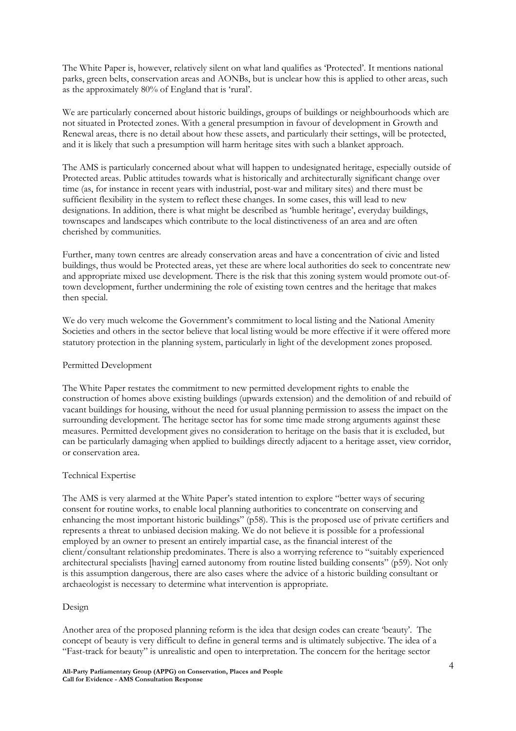The White Paper is, however, relatively silent on what land qualifies as 'Protected'. It mentions national parks, green belts, conservation areas and AONBs, but is unclear how this is applied to other areas, such as the approximately 80% of England that is 'rural'.

We are particularly concerned about historic buildings, groups of buildings or neighbourhoods which are not situated in Protected zones. With a general presumption in favour of development in Growth and Renewal areas, there is no detail about how these assets, and particularly their settings, will be protected, and it is likely that such a presumption will harm heritage sites with such a blanket approach.

The AMS is particularly concerned about what will happen to undesignated heritage, especially outside of Protected areas. Public attitudes towards what is historically and architecturally significant change over time (as, for instance in recent years with industrial, post-war and military sites) and there must be sufficient flexibility in the system to reflect these changes. In some cases, this will lead to new designations. In addition, there is what might be described as 'humble heritage', everyday buildings, townscapes and landscapes which contribute to the local distinctiveness of an area and are often cherished by communities.

Further, many town centres are already conservation areas and have a concentration of civic and listed buildings, thus would be Protected areas, yet these are where local authorities do seek to concentrate new and appropriate mixed use development. There is the risk that this zoning system would promote out-oftown development, further undermining the role of existing town centres and the heritage that makes then special.

We do very much welcome the Government's commitment to local listing and the National Amenity Societies and others in the sector believe that local listing would be more effective if it were offered more statutory protection in the planning system, particularly in light of the development zones proposed.

#### Permitted Development

The White Paper restates the commitment to new permitted development rights to enable the construction of homes above existing buildings (upwards extension) and the demolition of and rebuild of vacant buildings for housing, without the need for usual planning permission to assess the impact on the surrounding development. The heritage sector has for some time made strong arguments against these measures. Permitted development gives no consideration to heritage on the basis that it is excluded, but can be particularly damaging when applied to buildings directly adjacent to a heritage asset, view corridor, or conservation area.

## Technical Expertise

The AMS is very alarmed at the White Paper's stated intention to explore "better ways of securing consent for routine works, to enable local planning authorities to concentrate on conserving and enhancing the most important historic buildings" (p58). This is the proposed use of private certifiers and represents a threat to unbiased decision making. We do not believe it is possible for a professional employed by an owner to present an entirely impartial case, as the financial interest of the client/consultant relationship predominates. There is also a worrying reference to "suitably experienced architectural specialists [having] earned autonomy from routine listed building consents" (p59). Not only is this assumption dangerous, there are also cases where the advice of a historic building consultant or archaeologist is necessary to determine what intervention is appropriate.

#### Design

Another area of the proposed planning reform is the idea that design codes can create 'beauty'. The concept of beauty is very difficult to define in general terms and is ultimately subjective. The idea of a "Fast-track for beauty" is unrealistic and open to interpretation. The concern for the heritage sector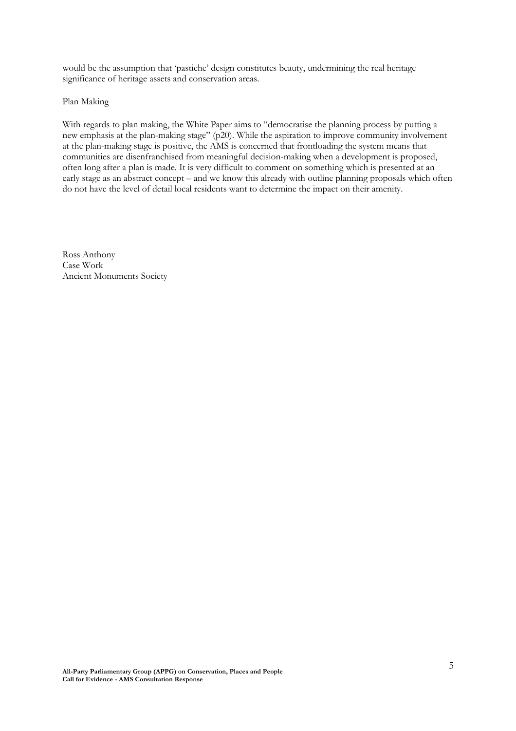would be the assumption that 'pastiche' design constitutes beauty, undermining the real heritage significance of heritage assets and conservation areas.

Plan Making

With regards to plan making, the White Paper aims to "democratise the planning process by putting a new emphasis at the plan-making stage" (p20). While the aspiration to improve community involvement at the plan-making stage is positive, the AMS is concerned that frontloading the system means that communities are disenfranchised from meaningful decision-making when a development is proposed, often long after a plan is made. It is very difficult to comment on something which is presented at an early stage as an abstract concept – and we know this already with outline planning proposals which often do not have the level of detail local residents want to determine the impact on their amenity.

Ross Anthony Case Work Ancient Monuments Society